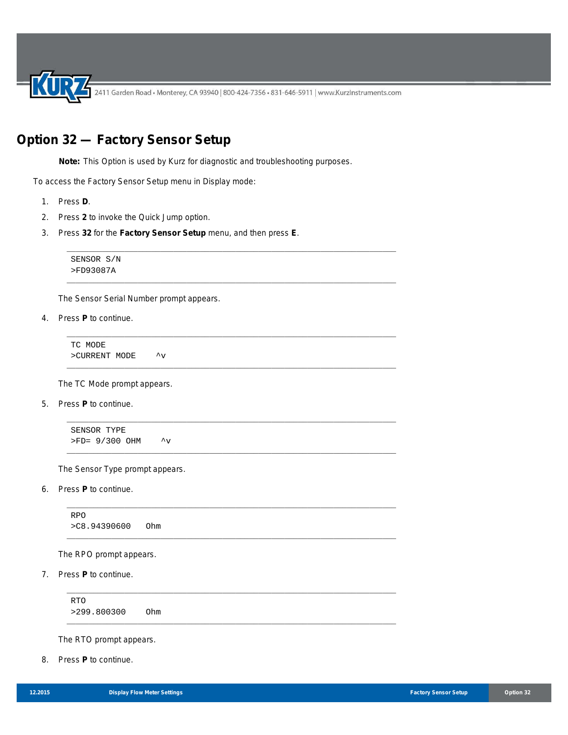2411 Garden Road • Monterey, CA 93940 | 800-424-7356 • 831-646-5911 | www.KurzInstruments.com

## **Option 32 — Factory Sensor Setup**

**Note:** This Option is used by Kurz for diagnostic and troubleshooting purposes.

\_\_\_\_\_\_\_\_\_\_\_\_\_\_\_\_\_\_\_\_\_\_\_\_\_\_\_\_\_\_\_\_\_\_\_\_\_\_\_\_\_\_\_\_\_\_\_\_\_\_\_\_\_\_\_\_\_\_\_\_\_\_\_\_\_\_\_\_\_\_\_\_\_\_

\_\_\_\_\_\_\_\_\_\_\_\_\_\_\_\_\_\_\_\_\_\_\_\_\_\_\_\_\_\_\_\_\_\_\_\_\_\_\_\_\_\_\_\_\_\_\_\_\_\_\_\_\_\_\_\_\_\_\_\_\_\_\_\_\_\_\_\_\_\_\_\_\_\_

\_\_\_\_\_\_\_\_\_\_\_\_\_\_\_\_\_\_\_\_\_\_\_\_\_\_\_\_\_\_\_\_\_\_\_\_\_\_\_\_\_\_\_\_\_\_\_\_\_\_\_\_\_\_\_\_\_\_\_\_\_\_\_\_\_\_\_\_\_\_\_\_\_\_

\_\_\_\_\_\_\_\_\_\_\_\_\_\_\_\_\_\_\_\_\_\_\_\_\_\_\_\_\_\_\_\_\_\_\_\_\_\_\_\_\_\_\_\_\_\_\_\_\_\_\_\_\_\_\_\_\_\_\_\_\_\_\_\_\_\_\_\_\_\_\_\_\_\_

\_\_\_\_\_\_\_\_\_\_\_\_\_\_\_\_\_\_\_\_\_\_\_\_\_\_\_\_\_\_\_\_\_\_\_\_\_\_\_\_\_\_\_\_\_\_\_\_\_\_\_\_\_\_\_\_\_\_\_\_\_\_\_\_\_\_\_\_\_\_\_\_\_\_

\_\_\_\_\_\_\_\_\_\_\_\_\_\_\_\_\_\_\_\_\_\_\_\_\_\_\_\_\_\_\_\_\_\_\_\_\_\_\_\_\_\_\_\_\_\_\_\_\_\_\_\_\_\_\_\_\_\_\_\_\_\_\_\_\_\_\_\_\_\_\_\_\_\_

\_\_\_\_\_\_\_\_\_\_\_\_\_\_\_\_\_\_\_\_\_\_\_\_\_\_\_\_\_\_\_\_\_\_\_\_\_\_\_\_\_\_\_\_\_\_\_\_\_\_\_\_\_\_\_\_\_\_\_\_\_\_\_\_\_\_\_\_\_\_\_\_\_\_

\_\_\_\_\_\_\_\_\_\_\_\_\_\_\_\_\_\_\_\_\_\_\_\_\_\_\_\_\_\_\_\_\_\_\_\_\_\_\_\_\_\_\_\_\_\_\_\_\_\_\_\_\_\_\_\_\_\_\_\_\_\_\_\_\_\_\_\_\_\_\_\_\_\_

\_\_\_\_\_\_\_\_\_\_\_\_\_\_\_\_\_\_\_\_\_\_\_\_\_\_\_\_\_\_\_\_\_\_\_\_\_\_\_\_\_\_\_\_\_\_\_\_\_\_\_\_\_\_\_\_\_\_\_\_\_\_\_\_\_\_\_\_\_\_\_\_\_\_

\_\_\_\_\_\_\_\_\_\_\_\_\_\_\_\_\_\_\_\_\_\_\_\_\_\_\_\_\_\_\_\_\_\_\_\_\_\_\_\_\_\_\_\_\_\_\_\_\_\_\_\_\_\_\_\_\_\_\_\_\_\_\_\_\_\_\_\_\_\_\_\_\_\_

To access the Factory Sensor Setup menu in Display mode:

- 1. Press **D**.
- 2. Press **2** to invoke the Quick Jump option.
- 3. Press **32** for the **Factory Sensor Setup** menu, and then press **E**.

SENSOR S/N >FD93087A

The Sensor Serial Number prompt appears.

4. Press **P** to continue.

TC MODE >CURRENT MODE ^v

The TC Mode prompt appears.

5. Press **P** to continue.

SENSOR TYPE  $>FD = 9/300$  OHM  $\sim$ v

The Sensor Type prompt appears.

6. Press **P** to continue.

RPO >C8.94390600 Ohm

The RPO prompt appears.

7. Press **P** to continue.

RTO >299.800300 Ohm

The RTO prompt appears.

8. Press **P** to continue.